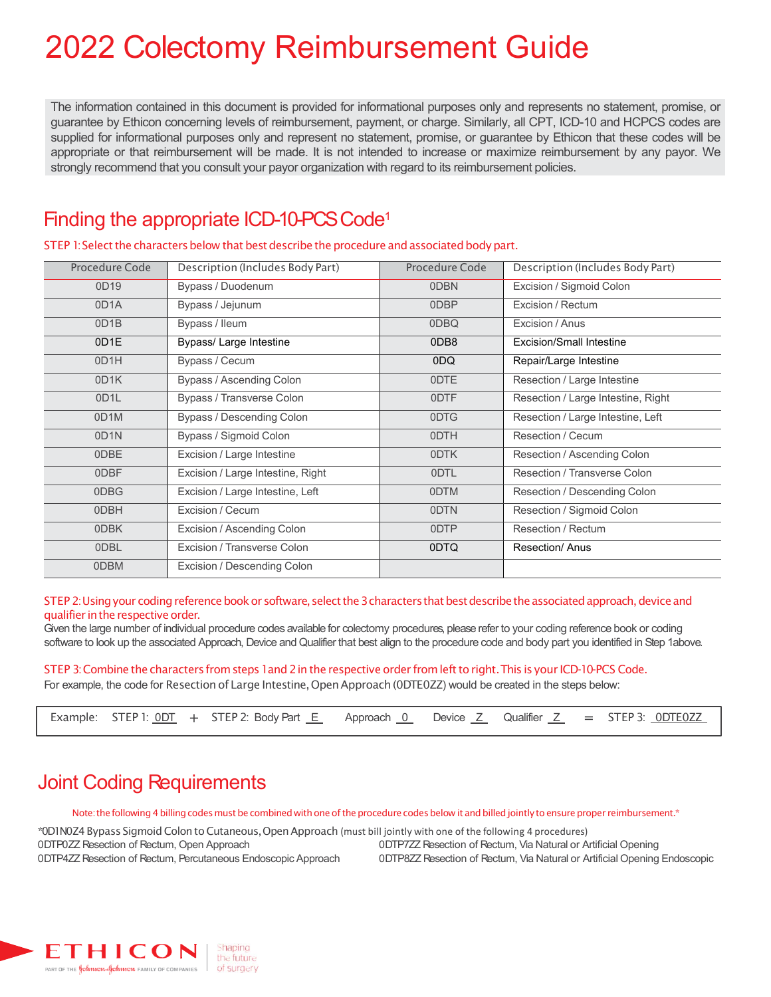# 2022 Colectomy Reimbursement Guide

The information contained in this document is provided for informational purposes only and represents no statement, promise, or guarantee by Ethicon concerning levels of reimbursement, payment, or charge. Similarly, all CPT, ICD-10 and HCPCS codes are supplied for informational purposes only and represent no statement, promise, or guarantee by Ethicon that these codes will be appropriate or that reimbursement will be made. It is not intended to increase or maximize reimbursement by any payor. We strongly recommend that you consult your payor organization with regard to its reimbursement policies.

#### Finding the appropriate ICD-10-PCS Code<sup>1</sup>

STEP 1: Select the characters below that best describe the procedure and associated body part.

| Procedure Code    | Description (Includes Body Part)  | Procedure Code | Description (Includes Body Part)   |
|-------------------|-----------------------------------|----------------|------------------------------------|
| 0D19              | Bypass / Duodenum                 | 0DBN           | Excision / Sigmoid Colon           |
| 0D <sub>1</sub> A | Bypass / Jejunum                  | 0DBP           | Excision / Rectum                  |
| 0D <sub>1</sub> B | Bypass / lleum                    | 0DBQ           | Excision / Anus                    |
| 0D1E              | Bypass/ Large Intestine           | 0DB8           | Excision/Small Intestine           |
| 0D <sub>1</sub> H | Bypass / Cecum                    | 0DQ            | Repair/Large Intestine             |
| 0D1K              | Bypass / Ascending Colon          | 0DTE           | Resection / Large Intestine        |
| 0D <sub>1</sub> L | Bypass / Transverse Colon         | 0DTF           | Resection / Large Intestine, Right |
| 0D1M              | Bypass / Descending Colon         | 0DTG           | Resection / Large Intestine, Left  |
| 0D <sub>1</sub> N | Bypass / Sigmoid Colon            | 0DTH           | Resection / Cecum                  |
| 0DBE              | Excision / Large Intestine        | 0DTK           | Resection / Ascending Colon        |
| 0DBF              | Excision / Large Intestine, Right | 0DTL           | Resection / Transverse Colon       |
| 0DBG              | Excision / Large Intestine, Left  | 0DTM           | Resection / Descending Colon       |
| 0DBH              | Excision / Cecum                  | 0DTN           | Resection / Sigmoid Colon          |
| 0DBK              | Excision / Ascending Colon        | 0DTP           | Resection / Rectum                 |
| 0DBL              | Excision / Transverse Colon       | 0DTQ           | Resection/ Anus                    |
| 0DBM              | Excision / Descending Colon       |                |                                    |
|                   |                                   |                |                                    |

#### STEP 2: Using your coding reference book or software, select the 3 characters that best describe the associated approach, device and qualifier in the respective order.

Given the large number of individual procedure codes available for colectomy procedures, please refer to your coding reference book or coding software to look up the associated Approach, Device and Qualifier that best align to the procedure code and body part you identified in Step 1above.

STEP 3: Combine the characters from steps 1and 2 in the respective order from left to right. This is your ICD-10-PCS Code. For example, the code for Resection of Large Intestine, Open Approach (0DTE0ZZ) would be created in the steps below:

|  |  |  | Example: STEP 1: $\underline{ODT}$ + STEP 2: Body Part $\underline{E}$ Approach $\underline{O}$ Device $\underline{Z}$ Qualifier $\underline{Z}$ = STEP 3: $\underline{ODTEOZZ}$ |  |  |  |  |  |  |  |  |  |
|--|--|--|----------------------------------------------------------------------------------------------------------------------------------------------------------------------------------|--|--|--|--|--|--|--|--|--|
|--|--|--|----------------------------------------------------------------------------------------------------------------------------------------------------------------------------------|--|--|--|--|--|--|--|--|--|

## Joint Coding Requirements

Note: the following 4 billing codes must be combined with one of the procedure codes below it and billed jointly to ensure proper reimbursement.\*

\*0D1N0Z4BypassSigmoid ColontoCutaneous,OpenApproach (must bill jointly with one of the following 4 procedures) 0DTP0ZZ Resection of Rectum, Open Approach 0DTP4ZZ Resection of Rectum, Percutaneous Endoscopic Approach

0DTP7ZZ Resection of Rectum, Via Natural or Artificial Opening

0DTP8ZZ Resection of Rectum, Via Natural or Artificial Opening Endoscopic

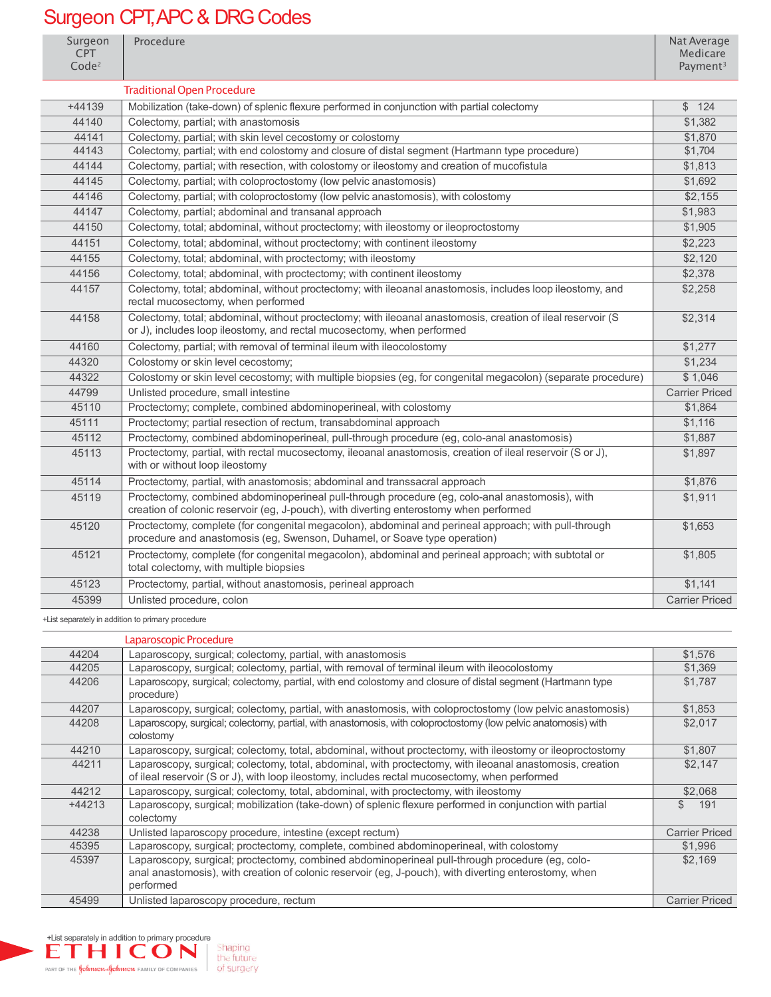## Surgeon CPT APC & DRG Codes

| Surgeon<br><b>CPT</b><br>Code <sup>2</sup> | Procedure                                                                                                                                                                                 | Nat Average<br>Medicare<br>Payment <sup>3</sup> |
|--------------------------------------------|-------------------------------------------------------------------------------------------------------------------------------------------------------------------------------------------|-------------------------------------------------|
|                                            | <b>Traditional Open Procedure</b>                                                                                                                                                         |                                                 |
| $+44139$                                   | Mobilization (take-down) of splenic flexure performed in conjunction with partial colectomy                                                                                               | \$124                                           |
| 44140                                      | Colectomy, partial; with anastomosis                                                                                                                                                      | \$1,382                                         |
| 44141                                      | Colectomy, partial; with skin level cecostomy or colostomy                                                                                                                                | \$1,870                                         |
| 44143                                      | Colectomy, partial; with end colostomy and closure of distal segment (Hartmann type procedure)                                                                                            | \$1,704                                         |
| 44144                                      | Colectomy, partial; with resection, with colostomy or ileostomy and creation of mucofistula                                                                                               | \$1,813                                         |
| 44145                                      | Colectomy, partial; with coloproctostomy (low pelvic anastomosis)                                                                                                                         | \$1,692                                         |
| 44146                                      | Colectomy, partial; with coloproctostomy (low pelvic anastomosis), with colostomy                                                                                                         | \$2,155                                         |
| 44147                                      | Colectomy, partial; abdominal and transanal approach                                                                                                                                      | \$1,983                                         |
| 44150                                      | Colectomy, total; abdominal, without proctectomy; with ileostomy or ileoproctostomy                                                                                                       | \$1,905                                         |
| 44151                                      | Colectomy, total; abdominal, without proctectomy; with continent ileostomy                                                                                                                | \$2,223                                         |
| 44155                                      | Colectomy, total; abdominal, with proctectomy; with ileostomy                                                                                                                             | \$2,120                                         |
| 44156                                      | Colectomy, total; abdominal, with proctectomy; with continent ileostomy                                                                                                                   | \$2,378                                         |
| 44157                                      | Colectomy, total; abdominal, without proctectomy; with ileoanal anastomosis, includes loop ileostomy, and<br>rectal mucosectomy, when performed                                           | \$2,258                                         |
| 44158                                      | Colectomy, total; abdominal, without proctectomy; with ileoanal anastomosis, creation of ileal reservoir (S<br>or J), includes loop ileostomy, and rectal mucosectomy, when performed     | \$2,314                                         |
| 44160                                      | Colectomy, partial; with removal of terminal ileum with ileocolostomy                                                                                                                     | \$1,277                                         |
| 44320                                      | Colostomy or skin level cecostomy;                                                                                                                                                        | \$1,234                                         |
| 44322                                      | Colostomy or skin level cecostomy; with multiple biopsies (eg, for congenital megacolon) (separate procedure)                                                                             | \$1,046                                         |
| 44799                                      | Unlisted procedure, small intestine                                                                                                                                                       | <b>Carrier Priced</b>                           |
| 45110                                      | Proctectomy; complete, combined abdominoperineal, with colostomy                                                                                                                          | \$1,864                                         |
| 45111                                      | Proctectomy; partial resection of rectum, transabdominal approach                                                                                                                         | \$1,116                                         |
| 45112                                      | Proctectomy, combined abdominoperineal, pull-through procedure (eg, colo-anal anastomosis)                                                                                                | \$1,887                                         |
| 45113                                      | Proctectomy, partial, with rectal mucosectomy, ileoanal anastomosis, creation of ileal reservoir (S or J),<br>with or without loop ileostomy                                              | \$1,897                                         |
| 45114                                      | Proctectomy, partial, with anastomosis; abdominal and transsacral approach                                                                                                                | \$1,876                                         |
| 45119                                      | Proctectomy, combined abdominoperineal pull-through procedure (eg, colo-anal anastomosis), with<br>creation of colonic reservoir (eg, J-pouch), with diverting enterostomy when performed | \$1,911                                         |
| 45120                                      | Proctectomy, complete (for congenital megacolon), abdominal and perineal approach; with pull-through<br>procedure and anastomosis (eg, Swenson, Duhamel, or Soave type operation)         | \$1,653                                         |
| 45121                                      | Proctectomy, complete (for congenital megacolon), abdominal and perineal approach; with subtotal or<br>total colectomy, with multiple biopsies                                            | \$1,805                                         |
| 45123                                      | Proctectomy, partial, without anastomosis, perineal approach                                                                                                                              | \$1,141                                         |
| 45399                                      | Unlisted procedure, colon                                                                                                                                                                 | <b>Carrier Priced</b>                           |

+List separately in addition to primary procedure

|          | Laparoscopic Procedure                                                                                                                                                                                                |                       |
|----------|-----------------------------------------------------------------------------------------------------------------------------------------------------------------------------------------------------------------------|-----------------------|
| 44204    | Laparoscopy, surgical; colectomy, partial, with anastomosis                                                                                                                                                           | \$1,576               |
| 44205    | Laparoscopy, surgical; colectomy, partial, with removal of terminal ileum with ileocolostomy                                                                                                                          | \$1,369               |
| 44206    | Laparoscopy, surgical; colectomy, partial, with end colostomy and closure of distal segment (Hartmann type<br>procedure)                                                                                              | \$1,787               |
| 44207    | Laparoscopy, surgical; colectomy, partial, with anastomosis, with coloproctostomy (low pelvic anastomosis)                                                                                                            | \$1,853               |
| 44208    | Laparoscopy, surgical; colectomy, partial, with anastomosis, with coloproctostomy (low pelvic anatomosis) with<br>colostomy                                                                                           | \$2,017               |
| 44210    | Laparoscopy, surgical; colectomy, total, abdominal, without proctectomy, with ileostomy or ileoproctostomy                                                                                                            | \$1,807               |
| 44211    | Laparoscopy, surgical; colectomy, total, abdominal, with proctectomy, with ileoanal anastomosis, creation<br>of ileal reservoir (S or J), with loop ileostomy, includes rectal mucosectomy, when performed            | \$2.147               |
| 44212    | Laparoscopy, surgical; colectomy, total, abdominal, with proctectomy, with ileostomy                                                                                                                                  | \$2,068               |
| $+44213$ | Laparoscopy, surgical; mobilization (take-down) of splenic flexure performed in conjunction with partial<br>colectomy                                                                                                 | \$<br>191             |
| 44238    | Unlisted laparoscopy procedure, intestine (except rectum)                                                                                                                                                             | <b>Carrier Priced</b> |
| 45395    | Laparoscopy, surgical; proctectomy, complete, combined abdominoperineal, with colostomy                                                                                                                               | \$1,996               |
| 45397    | Laparoscopy, surgical; proctectomy, combined abdominoperineal pull-through procedure (eg, colo-<br>anal anastomosis), with creation of colonic reservoir (eg, J-pouch), with diverting enterostomy, when<br>performed | \$2,169               |
| 45499    | Unlisted laparoscopy procedure, rectum                                                                                                                                                                                | <b>Carrier Priced</b> |